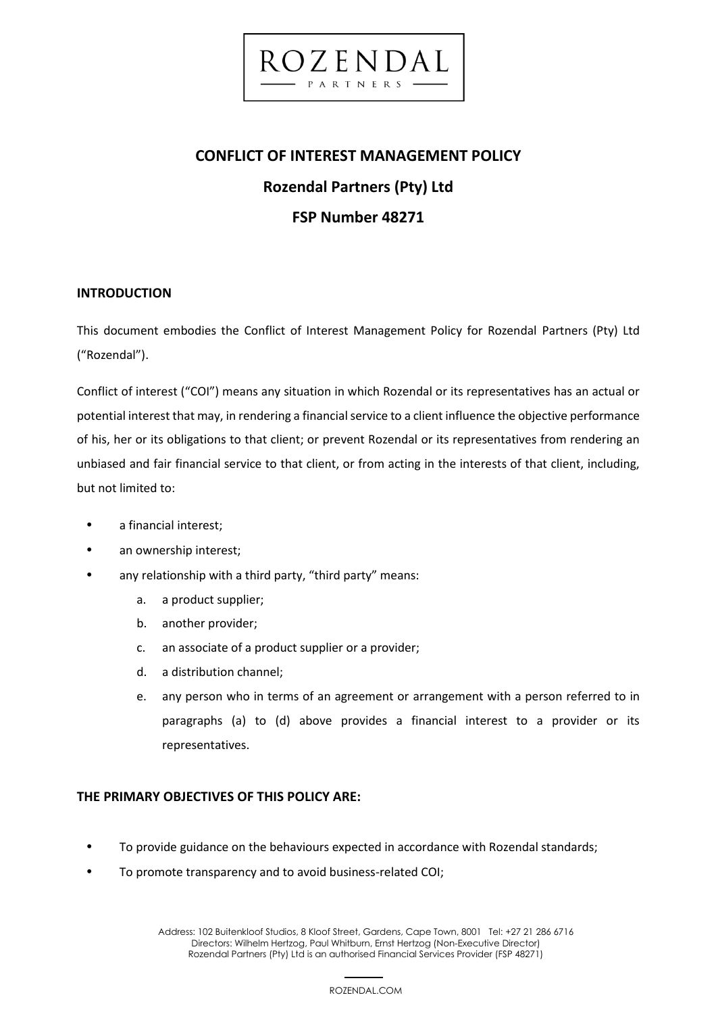# **CONFLICT OF INTEREST MANAGEMENT POLICY Rozendal Partners (Pty) Ltd FSP Number 48271**

ROZENDA

PARTNERS

### **INTRODUCTION**

This document embodies the Conflict of Interest Management Policy for Rozendal Partners (Pty) Ltd ("Rozendal").

Conflict of interest ("COI") means any situation in which Rozendal or its representatives has an actual or potential interest that may, in rendering a financial service to a client influence the objective performance of his, her or its obligations to that client; or prevent Rozendal or its representatives from rendering an unbiased and fair financial service to that client, or from acting in the interests of that client, including, but not limited to:

- a financial interest;
- an ownership interest;
- any relationship with a third party, "third party" means:
	- a. a product supplier;
	- b. another provider;
	- c. an associate of a product supplier or a provider;
	- d. a distribution channel;
	- e. any person who in terms of an agreement or arrangement with a person referred to in paragraphs (a) to (d) above provides a financial interest to a provider or its representatives.

### **THE PRIMARY OBJECTIVES OF THIS POLICY ARE:**

- To provide guidance on the behaviours expected in accordance with Rozendal standards;
- To promote transparency and to avoid business-related COI;

 1 Address: 102 Buitenkloof Studios, 8 Kloof Street, Gardens, Cape Town, 8001 Tel: +27 21 286 6716 Directors: Wilhelm Hertzog, Paul Whitburn, Ernst Hertzog (Non-Executive Director) Rozendal Partners (Pty) Ltd is an authorised Financial Services Provider (FSP 48271)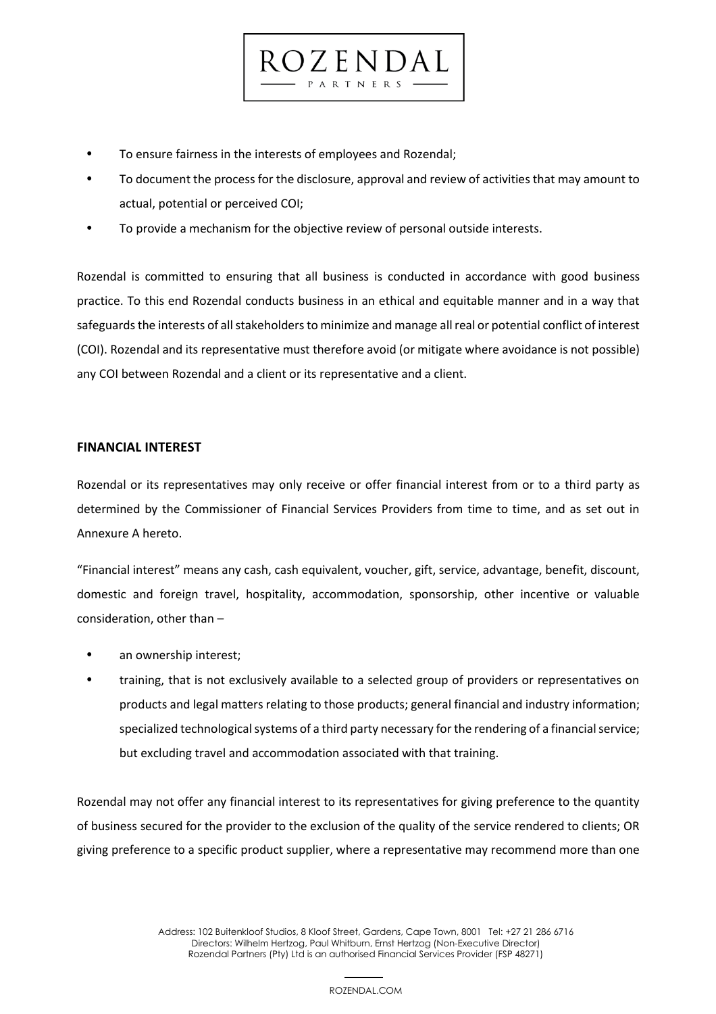- To ensure fairness in the interests of employees and Rozendal;
- To document the process for the disclosure, approval and review of activities that may amount to actual, potential or perceived COI;

 $CZENDA$ PARTNERS

• To provide a mechanism for the objective review of personal outside interests.

Rozendal is committed to ensuring that all business is conducted in accordance with good business practice. To this end Rozendal conducts business in an ethical and equitable manner and in a way that safeguards the interests of all stakeholders to minimize and manage all real or potential conflict of interest (COI). Rozendal and its representative must therefore avoid (or mitigate where avoidance is not possible) any COI between Rozendal and a client or its representative and a client.

### **FINANCIAL INTEREST**

Rozendal or its representatives may only receive or offer financial interest from or to a third party as determined by the Commissioner of Financial Services Providers from time to time, and as set out in Annexure A hereto.

"Financial interest" means any cash, cash equivalent, voucher, gift, service, advantage, benefit, discount, domestic and foreign travel, hospitality, accommodation, sponsorship, other incentive or valuable consideration, other than –

- an ownership interest;
- training, that is not exclusively available to a selected group of providers or representatives on products and legal matters relating to those products; general financial and industry information; specialized technological systems of a third party necessary for the rendering of a financial service; but excluding travel and accommodation associated with that training.

Rozendal may not offer any financial interest to its representatives for giving preference to the quantity of business secured for the provider to the exclusion of the quality of the service rendered to clients; OR giving preference to a specific product supplier, where a representative may recommend more than one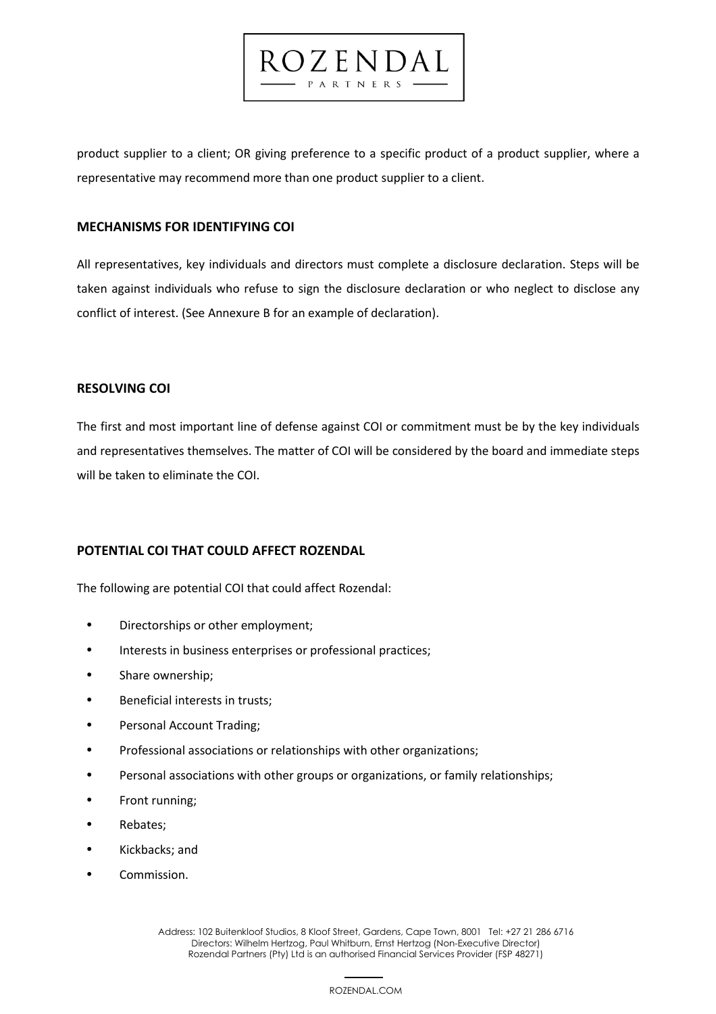product supplier to a client; OR giving preference to a specific product of a product supplier, where a representative may recommend more than one product supplier to a client.

ROZENDAL PARTNERS

### **MECHANISMS FOR IDENTIFYING COI**

All representatives, key individuals and directors must complete a disclosure declaration. Steps will be taken against individuals who refuse to sign the disclosure declaration or who neglect to disclose any conflict of interest. (See Annexure B for an example of declaration).

### **RESOLVING COI**

The first and most important line of defense against COI or commitment must be by the key individuals and representatives themselves. The matter of COI will be considered by the board and immediate steps will be taken to eliminate the COI.

### **POTENTIAL COI THAT COULD AFFECT ROZENDAL**

The following are potential COI that could affect Rozendal:

- Directorships or other employment;
- Interests in business enterprises or professional practices;
- Share ownership;
- Beneficial interests in trusts;
- Personal Account Trading;
- Professional associations or relationships with other organizations;
- Personal associations with other groups or organizations, or family relationships;
- Front running;
- Rebates;
- Kickbacks; and
- Commission.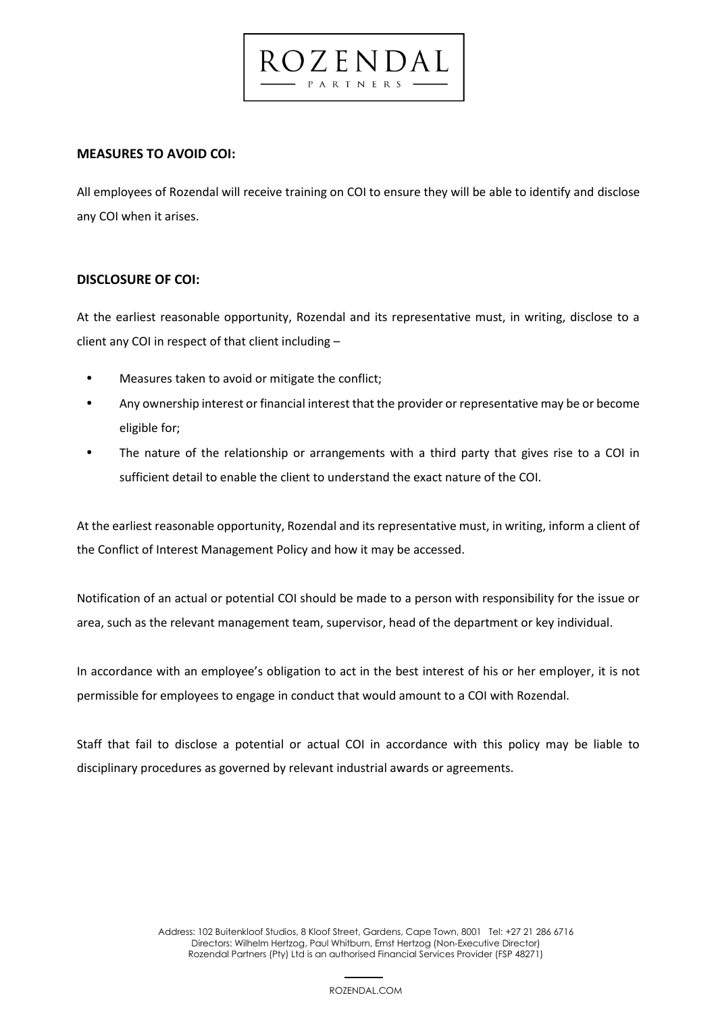## **MEASURES TO AVOID COI:**

All employees of Rozendal will receive training on COI to ensure they will be able to identify and disclose any COI when it arises.

0 Z E N D A PARTNERS

### **DISCLOSURE OF COI:**

At the earliest reasonable opportunity, Rozendal and its representative must, in writing, disclose to a client any COI in respect of that client including –

- Measures taken to avoid or mitigate the conflict;
- Any ownership interest or financial interest that the provider or representative may be or become eligible for;
- The nature of the relationship or arrangements with a third party that gives rise to a COI in sufficient detail to enable the client to understand the exact nature of the COI.

At the earliest reasonable opportunity, Rozendal and its representative must, in writing, inform a client of the Conflict of Interest Management Policy and how it may be accessed.

Notification of an actual or potential COI should be made to a person with responsibility for the issue or area, such as the relevant management team, supervisor, head of the department or key individual.

In accordance with an employee's obligation to act in the best interest of his or her employer, it is not permissible for employees to engage in conduct that would amount to a COI with Rozendal.

Staff that fail to disclose a potential or actual COI in accordance with this policy may be liable to disciplinary procedures as governed by relevant industrial awards or agreements.

 4 Address: 102 Buitenkloof Studios, 8 Kloof Street, Gardens, Cape Town, 8001 Tel: +27 21 286 6716 Directors: Wilhelm Hertzog, Paul Whitburn, Ernst Hertzog (Non-Executive Director) Rozendal Partners (Pty) Ltd is an authorised Financial Services Provider (FSP 48271)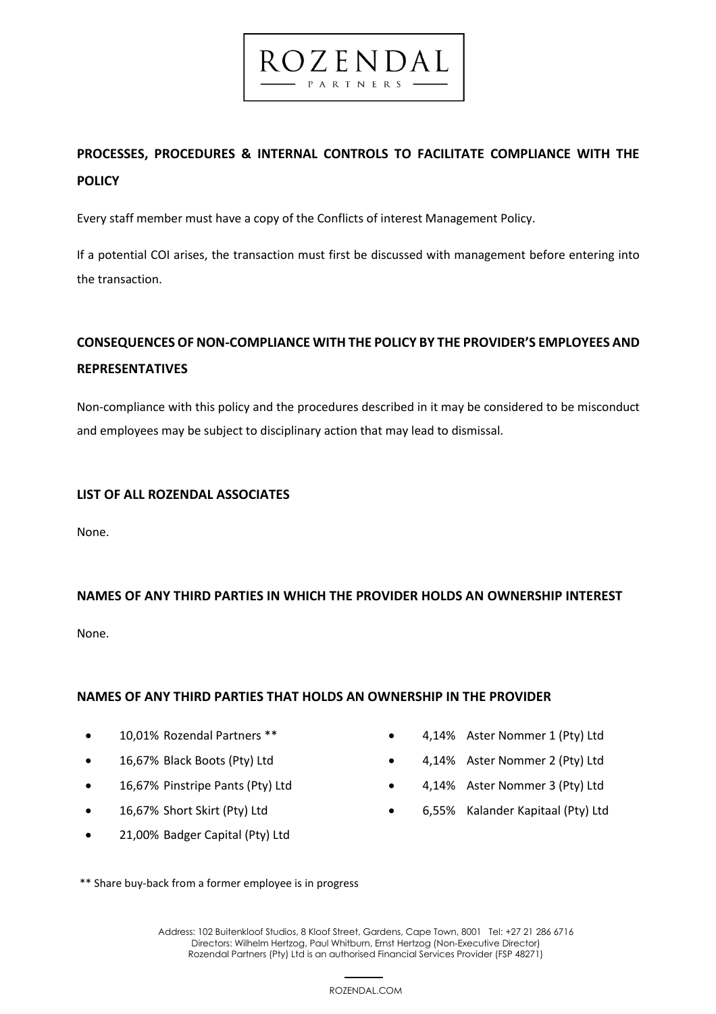## **PROCESSES, PROCEDURES & INTERNAL CONTROLS TO FACILITATE COMPLIANCE WITH THE POLICY**

ROZENDAL PARTNERS

Every staff member must have a copy of the Conflicts of interest Management Policy.

If a potential COI arises, the transaction must first be discussed with management before entering into the transaction.

## **CONSEQUENCES OF NON-COMPLIANCE WITH THE POLICY BY THE PROVIDER'S EMPLOYEES AND REPRESENTATIVES**

Non-compliance with this policy and the procedures described in it may be considered to be misconduct and employees may be subject to disciplinary action that may lead to dismissal.

### **LIST OF ALL ROZENDAL ASSOCIATES**

None.

## **NAMES OF ANY THIRD PARTIES IN WHICH THE PROVIDER HOLDS AN OWNERSHIP INTEREST**

None.

### **NAMES OF ANY THIRD PARTIES THAT HOLDS AN OWNERSHIP IN THE PROVIDER**

- 10,01% Rozendal Partners \*\*
- 16,67% Black Boots (Pty) Ltd
- 16,67% Pinstripe Pants (Pty) Ltd
- 16,67% Short Skirt (Pty) Ltd
- 21,00% Badger Capital (Pty) Ltd
- 4,14% Aster Nommer 1 (Pty) Ltd
- 4,14% Aster Nommer 2 (Pty) Ltd
- 4,14% Aster Nommer 3 (Pty) Ltd
- 6,55% Kalander Kapitaal (Pty) Ltd

\*\* Share buy-back from a former employee is in progress

 5 Address: 102 Buitenkloof Studios, 8 Kloof Street, Gardens, Cape Town, 8001 Tel: +27 21 286 6716 Directors: Wilhelm Hertzog, Paul Whitburn, Ernst Hertzog (Non-Executive Director) Rozendal Partners (Pty) Ltd is an authorised Financial Services Provider (FSP 48271)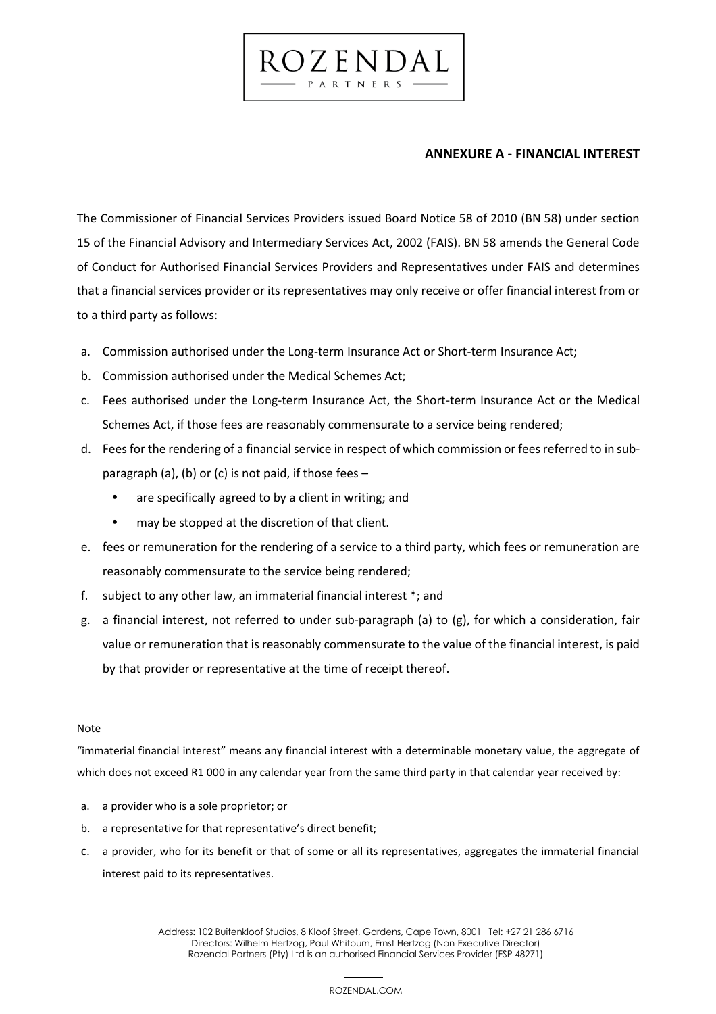### **ANNEXURE A - FINANCIAL INTEREST**

The Commissioner of Financial Services Providers issued Board Notice 58 of 2010 (BN 58) under section 15 of the Financial Advisory and Intermediary Services Act, 2002 (FAIS). BN 58 amends the General Code of Conduct for Authorised Financial Services Providers and Representatives under FAIS and determines that a financial services provider or its representatives may only receive or offer financial interest from or to a third party as follows:

ROZENDAL PARTNERS

- a. Commission authorised under the Long-term Insurance Act or Short-term Insurance Act;
- b. Commission authorised under the Medical Schemes Act;
- c. Fees authorised under the Long-term Insurance Act, the Short-term Insurance Act or the Medical Schemes Act, if those fees are reasonably commensurate to a service being rendered;
- d. Fees for the rendering of a financial service in respect of which commission or fees referred to in subparagraph (a), (b) or (c) is not paid, if those fees –
	- are specifically agreed to by a client in writing; and
	- may be stopped at the discretion of that client.
- e. fees or remuneration for the rendering of a service to a third party, which fees or remuneration are reasonably commensurate to the service being rendered;
- f. subject to any other law, an immaterial financial interest \*; and
- g. a financial interest, not referred to under sub-paragraph (a) to (g), for which a consideration, fair value or remuneration that is reasonably commensurate to the value of the financial interest, is paid by that provider or representative at the time of receipt thereof.

### Note

"immaterial financial interest" means any financial interest with a determinable monetary value, the aggregate of which does not exceed R1 000 in any calendar year from the same third party in that calendar year received by:

- a. a provider who is a sole proprietor; or
- b. a representative for that representative's direct benefit;
- c. a provider, who for its benefit or that of some or all its representatives, aggregates the immaterial financial interest paid to its representatives.

 2 Address: 102 Buitenkloof Studios, 8 Kloof Street, Gardens, Cape Town, 8001 Tel: +27 21 286 6716 Directors: Wilhelm Hertzog, Paul Whitburn, Ernst Hertzog (Non-Executive Director) Rozendal Partners (Pty) Ltd is an authorised Financial Services Provider (FSP 48271)